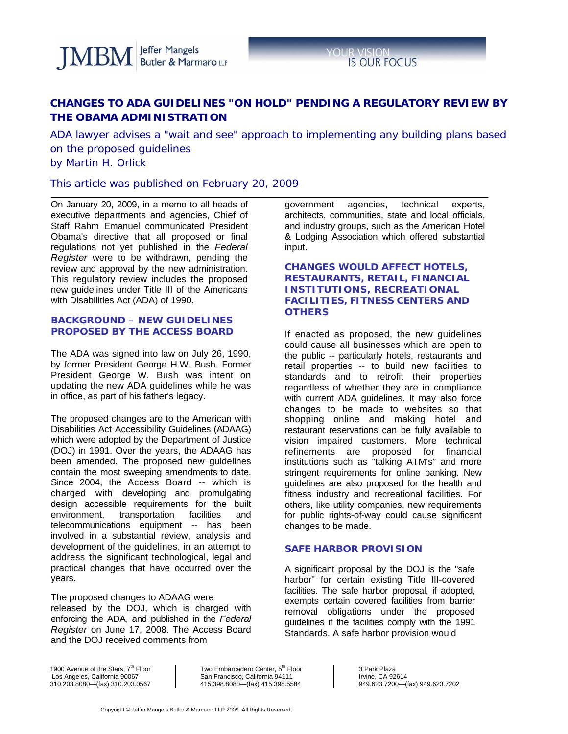

OUR VISION **IS OUR FOCUS** 

# **CHANGES TO ADA GUIDELINES "ON HOLD" PENDING A REGULATORY REVIEW BY THE OBAMA ADMINISTRATION**

*ADA lawyer advises a "wait and see" approach to implementing any building plans based on the proposed guidelines*  by Martin H. Orlick

## *This article was published on February 20, 2009*

On January 20, 2009, in a memo to all heads of executive departments and agencies, Chief of Staff Rahm Emanuel communicated President Obama's directive that all proposed or final regulations not yet published in the *Federal Register* were to be withdrawn, pending the review and approval by the new administration. This regulatory review includes the proposed new guidelines under Title III of the Americans with Disabilities Act (ADA) of 1990.

### **BACKGROUND – NEW GUIDELINES PROPOSED BY THE ACCESS BOARD**

The ADA was signed into law on July 26, 1990, by former President George H.W. Bush. Former President George W. Bush was intent on updating the new ADA guidelines while he was in office, as part of his father's legacy.

The proposed changes are to the American with Disabilities Act Accessibility Guidelines (ADAAG) which were adopted by the Department of Justice (DOJ) in 1991. Over the years, the ADAAG has been amended. The proposed new guidelines contain the most sweeping amendments to date. Since 2004, the Access Board -- which is charged with developing and promulgating design accessible requirements for the built environment, transportation facilities and telecommunications equipment -- has been involved in a substantial review, analysis and development of the guidelines, in an attempt to address the significant technological, legal and practical changes that have occurred over the years.

The proposed changes to ADAAG were released by the DOJ, which is charged with enforcing the ADA, and published in the *Federal Register* on June 17, 2008. The Access Board and the DOJ received comments from

government agencies, technical experts, architects, communities, state and local officials, and industry groups, such as the American Hotel & Lodging Association which offered substantial input.

## **CHANGES WOULD AFFECT HOTELS, RESTAURANTS, RETAIL, FINANCIAL INSTITUTIONS, RECREATIONAL FACILITIES, FITNESS CENTERS AND OTHERS**

If enacted as proposed, the new guidelines could cause all businesses which are open to the public -- particularly hotels, restaurants and retail properties -- to build new facilities to standards and to retrofit their properties regardless of whether they are in compliance with current ADA guidelines. It may also force changes to be made to websites so that shopping online and making hotel and restaurant reservations can be fully available to vision impaired customers. More technical refinements are proposed for financial institutions such as "talking ATM's" and more stringent requirements for online banking. New guidelines are also proposed for the health and fitness industry and recreational facilities. For others, like utility companies, new requirements for public rights-of-way could cause significant changes to be made.

#### **SAFE HARBOR PROVISION**

A significant proposal by the DOJ is the "safe harbor" for certain existing Title III-covered facilities. The safe harbor proposal, if adopted, exempts certain covered facilities from barrier removal obligations under the proposed guidelines if the facilities comply with the 1991 Standards. A safe harbor provision would

1900 Avenue of the Stars, 7<sup>th</sup> Floor Los Angeles, California 90067 310.203.8080—(fax) 310.203.0567

Two Embarcadero Center, 5<sup>th</sup> Floor San Francisco, California 94111 415.398.8080—(fax) 415.398.5584

3 Park Plaza Irvine, CA 92614 949.623.7200—(fax) 949.623.7202